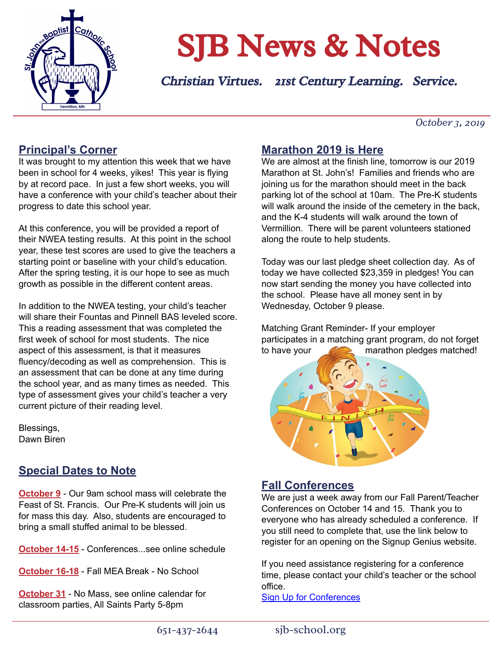

# SJB News & Notes

Christian Virtues. 21st Century Learning. Service.

*October 3, 2019*

# **Principal's Corner**

It was brought to my attention this week that we have been in school for 4 weeks, yikes! This year is flying by at record pace. In just a few short weeks, you will have a conference with your child's teacher about their progress to date this school year.

At this conference, you will be provided a report of their NWEA testing results. At this point in the school year, these test scores are used to give the teachers a starting point or baseline with your child's education. After the spring testing, it is our hope to see as much growth as possible in the different content areas.

In addition to the NWEA testing, your child's teacher will share their Fountas and Pinnell BAS leveled score. This a reading assessment that was completed the first week of school for most students. The nice aspect of this assessment, is that it measures fluency/decoding as well as comprehension. This is an assessment that can be done at any time during the school year, and as many times as needed. This type of assessment gives your child's teacher a very current picture of their reading level.

Blessings, Dawn Biren

# **Special Dates to Note**

**October 9** - Our 9am school mass will celebrate the Feast of St. Francis. Our Pre-K students will join us for mass this day. Also, students are encouraged to bring a small stuffed animal to be blessed.

**October 14-15** - Conferences...see online schedule

**October 16-18** - Fall MEA Break - No School

**October 31** - No Mass, see online calendar for classroom parties, All Saints Party 5-8pm

## **Marathon 2019 is Here**

We are almost at the finish line, tomorrow is our 2019 Marathon at St. John's! Families and friends who are joining us for the marathon should meet in the back parking lot of the school at 10am. The Pre-K students will walk around the inside of the cemetery in the back, and the K-4 students will walk around the town of Vermillion. There will be parent volunteers stationed along the route to help students.

Today was our last pledge sheet collection day. As of today we have collected \$23,359 in pledges! You can now start sending the money you have collected into the school. Please have all money sent in by Wednesday, October 9 please.

Matching Grant Reminder- If your employer participates in a matching grant program, do not forget to have your **the marathon pledges matched!** 



## **Fall Conferences**

We are just a week away from our Fall Parent/Teacher Conferences on October 14 and 15. Thank you to everyone who has already scheduled a conference. If you still need to complete that, use the link below to register for an opening on the Signup Genius website.

If you need assistance registering for a conference time, please contact your child's teacher or the school office.

[Sign Up for Conferences](https://www.signupgenius.com/go/8050B4AA4A92AA1F49-fall)